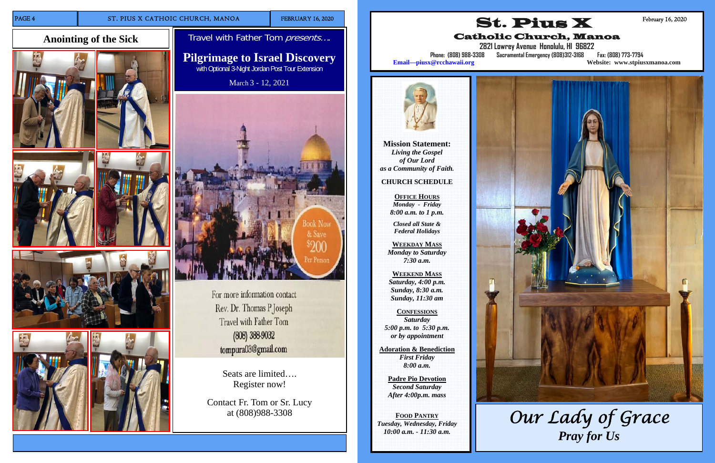# **Anointing of the Sick**











Seats are limited…. Register now!

Travel with Father Tom presents.... **Pilgrimage to Israel Discovery** 

> Contact Fr. Tom or Sr. Lucy at (808)988-3308

with Optional 3-Night Jordan Post Tour Extension

March 3 - 12, 2021



For more information contact Rev. Dr. Thomas P Joseph Travel with Father Tom (808) 388-9032 tompura03@gmail.com

**Mission Statement:**  *Living the Gospel of Our Lord as a Community of Faith.* 

**CHURCH SCHEDULE** 

**OFFICE HOURS** *Monday - Friday 8:00 a.m. to 1 p.m.* 

*Closed all State & Federal Holidays* 

**WEEKDAY MASS***Monday to Saturday 7:30 a.m.* 

**WEEKEND MASS***Saturday, 4:00 p.m. Sunday, 8:30 a.m. Sunday, 11:30 am* 

**CONFESSIONS** *Saturday 5:00 p.m. to 5:30 p.m. or by appointment* 

**Adoration & Benediction**  *First Friday 8:00 a.m.* 

> **Padre Pio Devotion**  *Second Saturday After 4:00p.m. mass*

**FOOD PANTRY** *Tuesday, Wednesday, Friday 10:00 a.m. - 11:30 a.m.* 





Catholic Church, Manoa

**2821 Lowrey Avenue Honolulu, HI 96822** 



**Phone: (808) 988-3308 Sacramental Emergency (808)312-3168 Fax: (808) 773-7794 Email—piusx@rcchawaii.org Website: www.stpiusxmanoa.com**



February 16, 2020